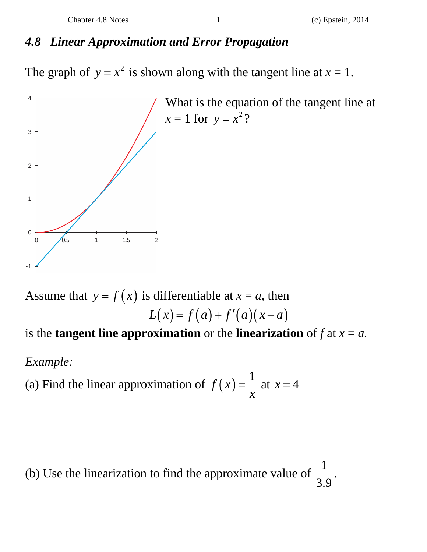## *4.8 Linear Approximation and Error Propagation*

The graph of  $y = x^2$  is shown along with the tangent line at  $x = 1$ .



Assume that  $y = f(x)$  is differentiable at  $x = a$ , then  $L(x) = f(a) + f'(a)(x-a)$ is the **tangent line approximation** or the **linearization** of  $f$  at  $x = a$ .

## *Example:*

(a) Find the linear approximation of  $f(x) = \frac{1}{x}$  $=\frac{1}{x}$  at  $x = 4$ 

(b) Use the linearization to find the approximate value of  $\frac{1}{2}$  $\frac{1}{3.9}$ .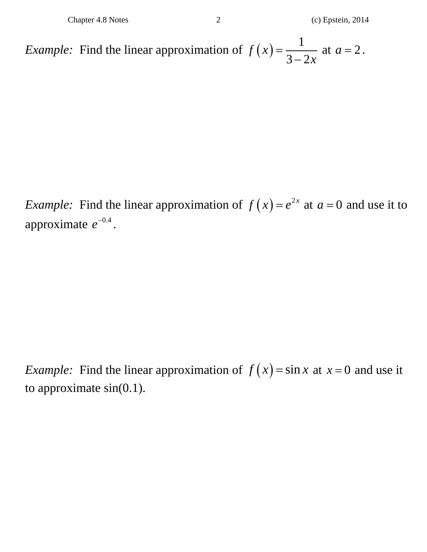*Example:* Find the linear approximation of  $f(x) = \frac{1}{2}$  $f(x) = \frac{1}{3 - 2x}$  at  $a = 2$ .

*Example:* Find the linear approximation of  $f(x) = e^{2x}$  at  $a = 0$  and use it to approximate  $e^{-0.4}$ .

*Example:* Find the linear approximation of  $f(x) = \sin x$  at  $x = 0$  and use it to approximate sin(0.1).